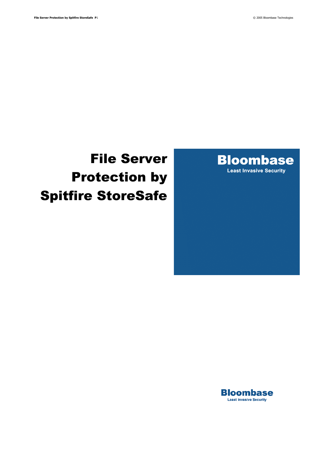

# File Server Protection by Spitfire StoreSafe

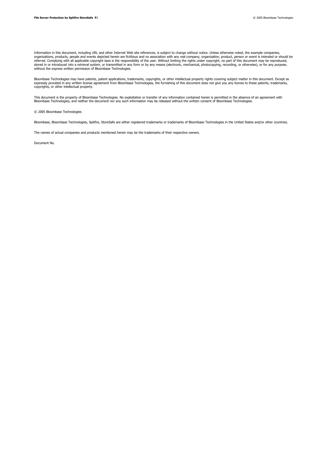Information in this document, including URL and other Internet Web site references, is subject to change without notice. Unless otherwise noted, the example companies, organizations, products, people and events depicted herein are fictitious and no association with any real company, organization, product, person or event is intended or should be inferred. Complying with all applicable copyright laws is the responsibility of the user. Without limiting the rights under copyright, no part of this document may be reproduced,<br>stored in or introduced into a retrieval sy without the express written permission of Bloombase Technologies.

Bloombase Technologies may have patents, patent applications, trademarks, copyrights, or other intellectual property rights covering subject matter in this document. Except as<br>expressly provided in any written license agre copyrights, or other intellectual property.

This document is the property of Bloombase Technologies. No exploitation or transfer of any information contained herein is permitted in the absence of an agreement with<br>Bloombase Technologies, and neither the document nor

© 2005 Bloombase Technologies

Bloombase, Bloombase Technologies, Spitfire, StoreSafe are either registered trademarks or trademarks of Bloombase Technologies in the United States and/or other countries.

The names of actual companies and products mentioned herein may be the trademarks of their respective owners.

Document No.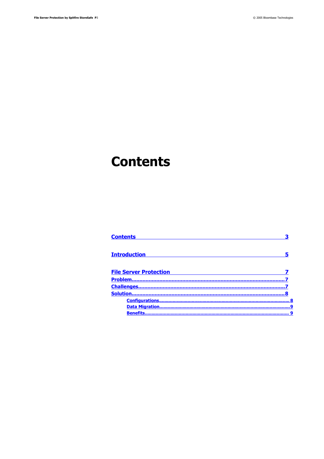## <span id="page-2-0"></span>**Contents**

| <b>Contents</b>               |  |
|-------------------------------|--|
| <b>Introduction</b>           |  |
| <b>File Server Protection</b> |  |
|                               |  |
|                               |  |
| Solution                      |  |
|                               |  |
|                               |  |
| <b>Benefits</b>               |  |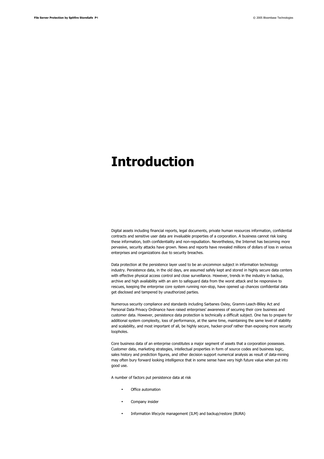## <span id="page-3-0"></span>**Introduction**

Digital assets including financial reports, legal documents, private human resources information, confidential contracts and sensitive user data are invaluable properties of a corporation. A business cannot risk losing these information, both confidentiality and non-repudiation. Nevertheless, the Internet has becoming more pervasive, security attacks have grown. News and reports have revealed millions of dollars of loss in various enterprises and organizations due to security breaches.

Data protection at the persistence layer used to be an uncommon subject in information technology industry. Persistence data, in the old days, are assumed safely kept and stored in highly secure data centers with effective physical access control and close surveillance. However, trends in the industry in backup, archive and high availability with an aim to safeguard data from the worst attack and be responsive to rescues, keeping the enterprise core system running non-stop, have opened up chances confidential data get disclosed and tampered by unauthorized parties.

Numerous security compliance and standards including Sarbanes Oxley, Gramm-Leach-Bliley Act and Personal Data Privacy Ordinance have raised enterprises' awareness of securing their core business and customer data. However, persistence data protection is technically a difficult subject. One has to prepare for additional system complexity, loss of performance, at the same time, maintaining the same level of stability and scalability, and most important of all, be highly secure, hacker-proof rather than exposing more security loopholes.

Core business data of an enterprise constitutes a major segment of assets that a corporation possesses. Customer data, marketing strategies, intellectual properties in form of source codes and business logic, sales history and prediction figures, and other decision support numerical analysis as result of data-mining may often bury forward looking intelligence that in some sense have very high future value when put into good use.

A number of factors put persistence data at risk

- Office automation
- Company insider
- Information lifecycle management (ILM) and backup/restore (BURA)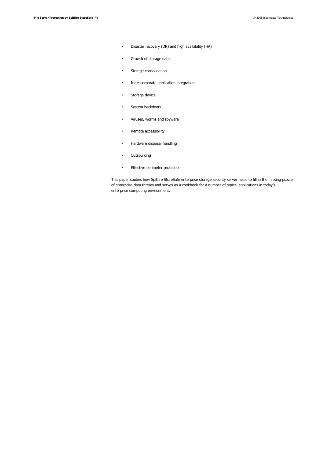- Disaster recovery (DR) and high availability (HA)
- Growth of storage data
- Storage consolidation
- Inter-corporate application integration
- Storage device
- System backdoors
- Viruses, worms and spyware
- Remote accessibility
- Hardware disposal handling
- Outsourcing
- Effective perimeter protection

This paper studies how Spitfire StoreSafe enterprise storage security server helps to fill in the missing puzzle of enterprise data threats and serves as a cookbook for a number of typical applications in today's enterprise computing environment.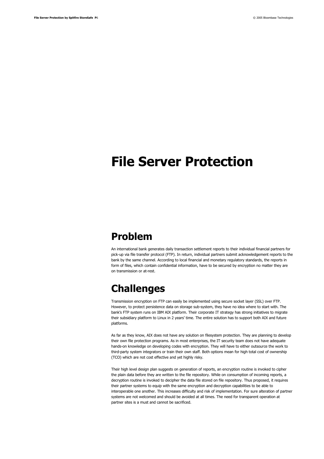## <span id="page-5-2"></span>**File Server Protection**

### <span id="page-5-1"></span>**Problem**

An international bank generates daily transaction settlement reports to their individual financial partners for pick-up via file transfer protocol (FTP). In return, individual partners submit acknowledgement reports to the bank by the same channel. According to local financial and monetary regulatory standards, the reports in form of files, which contain confidential information, have to be secured by encryption no matter they are on transmission or at-rest.

### <span id="page-5-0"></span>**Challenges**

Transmission encryption on FTP can easily be implemented using secure socket layer (SSL) over FTP. However, to protect persistence data on storage sub-system, they have no idea where to start with. The bank's FTP system runs on IBM AIX platform. Their corporate IT strategy has strong initiatives to migrate their subsidiary platform to Linux in 2 years' time. The entire solution has to support both AIX and future platforms.

As far as they know, AIX does not have any solution on filesystem protection. They are planning to develop their own file protection programs. As in most enterprises, the IT security team does not have adequate hands-on knowledge on developing codes with encryption. They will have to either outsource the work to third-party system integrators or train their own staff. Both options mean for high total cost of ownership (TCO) which are not cost effective and yet highly risky.

Their high level design plan suggests on generation of reports, an encryption routine is invoked to cipher the plain data before they are written to the file repository. While on consumption of incoming reports, a decryption routine is invoked to decipher the data file stored on file repository. Thus proposed, it requires their partner systems to equip with the same encryption and decryption capabilities to be able to interoperable one another. This increases difficulty and risk of implementation. For sure alteration of partner systems are not welcomed and should be avoided at all times. The need for transparent operation at partner sites is a must and cannot be sacrificed.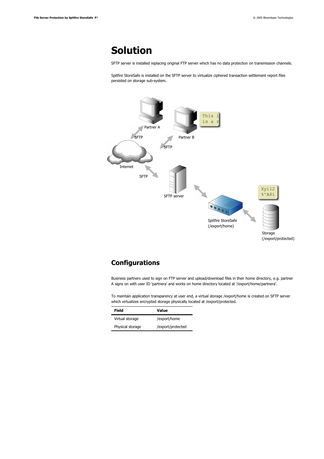### <span id="page-6-1"></span>**Solution**

SFTP server is installed replacing original FTP server which has no data protection on transmission channels.

Spitfire StoreSafe is installed on the SFTP server to virtualize ciphered transaction settlement report files persisted on storage sub-system.



#### <span id="page-6-0"></span>**Configurations**

Business partners used to sign on FTP server and upload/download files in their home directory, e.g. partner A signs on with user ID 'partnera' and works on home directory located at '/export/home/partnera'.

To maintain application transparency at user end, a virtual storage /export/home is created on SFTP server which virtualizes encrypted storage physically located at /export/protected.

| Field            | Value             |
|------------------|-------------------|
| Virtual storage  | /export/home      |
| Physical storage | /export/protected |